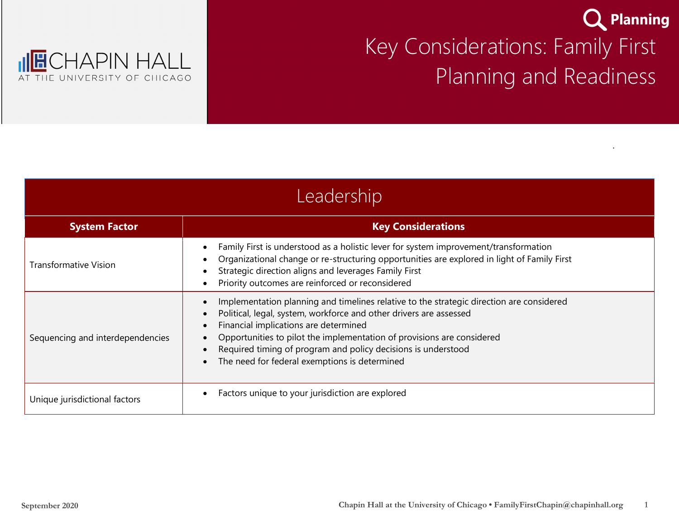

.



| Leadership                       |                                                                                                                                                                                                                                                                                                                                                                                                                  |  |
|----------------------------------|------------------------------------------------------------------------------------------------------------------------------------------------------------------------------------------------------------------------------------------------------------------------------------------------------------------------------------------------------------------------------------------------------------------|--|
| <b>System Factor</b>             | <b>Key Considerations</b>                                                                                                                                                                                                                                                                                                                                                                                        |  |
| <b>Transformative Vision</b>     | Family First is understood as a holistic lever for system improvement/transformation<br>Organizational change or re-structuring opportunities are explored in light of Family First<br>Strategic direction aligns and leverages Family First<br>Priority outcomes are reinforced or reconsidered                                                                                                                 |  |
| Sequencing and interdependencies | Implementation planning and timelines relative to the strategic direction are considered<br>Political, legal, system, workforce and other drivers are assessed<br>Financial implications are determined<br>Opportunities to pilot the implementation of provisions are considered<br>$\bullet$<br>Required timing of program and policy decisions is understood<br>The need for federal exemptions is determined |  |
| Unique jurisdictional factors    | Factors unique to your jurisdiction are explored                                                                                                                                                                                                                                                                                                                                                                 |  |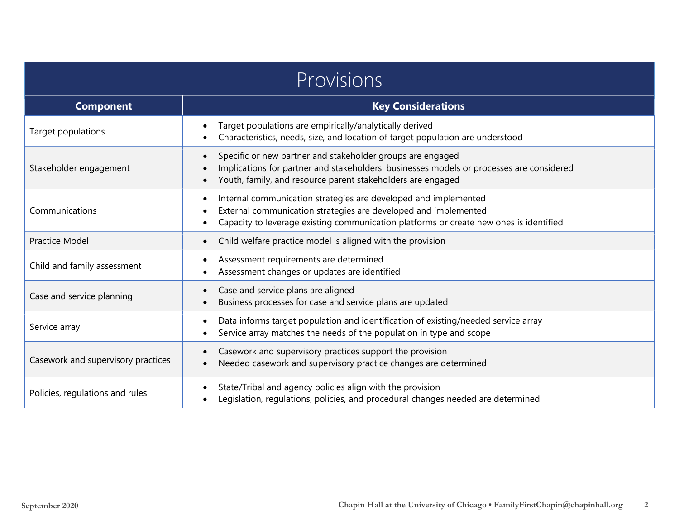| Provisions                         |                                                                                                                                                                                                                                                                     |  |
|------------------------------------|---------------------------------------------------------------------------------------------------------------------------------------------------------------------------------------------------------------------------------------------------------------------|--|
| <b>Component</b>                   | <b>Key Considerations</b>                                                                                                                                                                                                                                           |  |
| Target populations                 | Target populations are empirically/analytically derived<br>٠<br>Characteristics, needs, size, and location of target population are understood                                                                                                                      |  |
| Stakeholder engagement             | Specific or new partner and stakeholder groups are engaged<br>$\bullet$<br>Implications for partner and stakeholders' businesses models or processes are considered<br>Youth, family, and resource parent stakeholders are engaged<br>$\bullet$                     |  |
| Communications                     | Internal communication strategies are developed and implemented<br>$\bullet$<br>External communication strategies are developed and implemented<br>$\bullet$<br>Capacity to leverage existing communication platforms or create new ones is identified<br>$\bullet$ |  |
| <b>Practice Model</b>              | Child welfare practice model is aligned with the provision<br>$\bullet$                                                                                                                                                                                             |  |
| Child and family assessment        | Assessment requirements are determined<br>$\bullet$<br>Assessment changes or updates are identified<br>$\bullet$                                                                                                                                                    |  |
| Case and service planning          | Case and service plans are aligned<br>$\bullet$<br>Business processes for case and service plans are updated<br>$\bullet$                                                                                                                                           |  |
| Service array                      | Data informs target population and identification of existing/needed service array<br>$\bullet$<br>Service array matches the needs of the population in type and scope<br>$\bullet$                                                                                 |  |
| Casework and supervisory practices | Casework and supervisory practices support the provision<br>$\bullet$<br>Needed casework and supervisory practice changes are determined                                                                                                                            |  |
| Policies, regulations and rules    | State/Tribal and agency policies align with the provision<br>$\bullet$<br>Legislation, regulations, policies, and procedural changes needed are determined<br>$\bullet$                                                                                             |  |